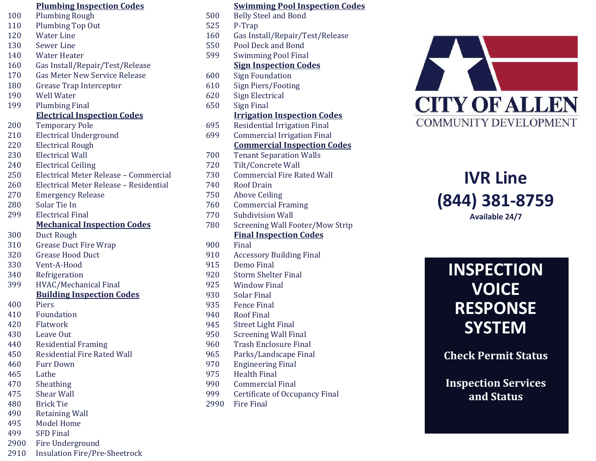|      | <b>Plumbing Inspection Codes</b>       |      | <b>Swimming Pool Inspection Co</b>  |
|------|----------------------------------------|------|-------------------------------------|
| 100  | <b>Plumbing Rough</b>                  | 500  | <b>Belly Steel and Bond</b>         |
| 110  | <b>Plumbing Top Out</b>                | 525  | P-Trap                              |
| 120  | <b>Water Line</b>                      | 160  | Gas Install/Repair/Test/Release     |
| 130  | Sewer Line                             | 550  | Pool Deck and Bond                  |
| 140  | <b>Water Heater</b>                    | 599  | <b>Swimming Pool Final</b>          |
| 160  | Gas Install/Repair/Test/Release        |      | <b>Sign Inspection Codes</b>        |
| 170  | <b>Gas Meter New Service Release</b>   | 600  | <b>Sign Foundation</b>              |
| 180  | <b>Grease Trap Interceptor</b>         | 610  | <b>Sign Piers/Footing</b>           |
| 190  | <b>Well Water</b>                      | 620  | <b>Sign Electrical</b>              |
| 199  | <b>Plumbing Final</b>                  | 650  | Sign Final                          |
|      | <b>Electrical Inspection Codes</b>     |      | <b>Irrigation Inspection Codes</b>  |
| 200  | <b>Temporary Pole</b>                  | 695  | <b>Residential Irrigation Final</b> |
| 210  | <b>Electrical Underground</b>          | 699  | <b>Commercial Irrigation Final</b>  |
| 220  | <b>Electrical Rough</b>                |      | <b>Commercial Inspection Codes</b>  |
| 230  | <b>Electrical Wall</b>                 | 700  | <b>Tenant Separation Walls</b>      |
| 240  | <b>Electrical Ceiling</b>              | 720  | Tilt/Concrete Wall                  |
| 250  | Electrical Meter Release - Commercial  | 730  | <b>Commercial Fire Rated Wall</b>   |
| 260  | Electrical Meter Release - Residential | 740  | <b>Roof Drain</b>                   |
| 270  | <b>Emergency Release</b>               | 750  | <b>Above Ceiling</b>                |
| 280  | Solar Tie In                           | 760  | <b>Commercial Framing</b>           |
| 299  | <b>Electrical Final</b>                | 770  | <b>Subdivision Wall</b>             |
|      | <b>Mechanical Inspection Codes</b>     | 780  | Screening Wall Footer/Mow Strip     |
| 300  | Duct Rough                             |      | <b>Final Inspection Codes</b>       |
| 310  | <b>Grease Duct Fire Wrap</b>           | 900  | Final                               |
| 320  | <b>Grease Hood Duct</b>                | 910  | <b>Accessory Building Final</b>     |
| 330  | Vent-A-Hood                            | 915  | Demo Final                          |
| 340  | Refrigeration                          | 920  | <b>Storm Shelter Final</b>          |
| 399  | HVAC/Mechanical Final                  | 925  | <b>Window Final</b>                 |
|      | <b>Building Inspection Codes</b>       | 930  | <b>Solar Final</b>                  |
| 400  | Piers                                  | 935  | <b>Fence Final</b>                  |
| 410  | Foundation                             | 940  | <b>Roof Final</b>                   |
| 420  | Flatwork                               | 945  | <b>Street Light Final</b>           |
| 430  | Leave Out                              | 950  | <b>Screening Wall Final</b>         |
| 440  | <b>Residential Framing</b>             | 960  | <b>Trash Enclosure Final</b>        |
| 450  | <b>Residential Fire Rated Wall</b>     | 965  | Parks/Landscape Final               |
| 460  | <b>Furr Down</b>                       | 970  | <b>Engineering Final</b>            |
| 465  | Lathe                                  | 975  | <b>Health Final</b>                 |
| 470  | Sheathing                              | 990  | <b>Commercial Final</b>             |
| 475  | <b>Shear Wall</b>                      | 999  | Certificate of Occupancy Final      |
| 480  | <b>Brick Tie</b>                       | 2990 | <b>Fire Final</b>                   |
| 490  | <b>Retaining Wall</b>                  |      |                                     |
| 495  | <b>Model Home</b>                      |      |                                     |
| 499  | <b>SFD Final</b>                       |      |                                     |
| 2900 | Fire Underground                       |      |                                     |

2910 Insulation Fire/Pre -Sheetrock

| <b>Plumbing Inspection Codes</b>       |      | <b>Swimming Pool Inspection Codes</b> |
|----------------------------------------|------|---------------------------------------|
| <b>Plumbing Rough</b>                  | 500  | <b>Belly Steel and Bond</b>           |
| <b>Plumbing Top Out</b>                | 525  | P-Trap                                |
| <b>Water Line</b>                      | 160  | Gas Install/Repair/Test/Release       |
| <b>Sewer Line</b>                      | 550  | Pool Deck and Bond                    |
| Water Heater                           | 599  | <b>Swimming Pool Final</b>            |
| Gas Install/Repair/Test/Release        |      | <b>Sign Inspection Codes</b>          |
| <b>Gas Meter New Service Release</b>   | 600  | <b>Sign Foundation</b>                |
| Grease Trap Interceptor                | 610  | <b>Sign Piers/Footing</b>             |
| <b>Well Water</b>                      | 620  | <b>Sign Electrical</b>                |
| <b>Plumbing Final</b>                  | 650  | Sign Final                            |
| <b>Electrical Inspection Codes</b>     |      | <b>Irrigation Inspection Codes</b>    |
| <b>Temporary Pole</b>                  | 695  | <b>Residential Irrigation Final</b>   |
| <b>Electrical Underground</b>          | 699  | <b>Commercial Irrigation Final</b>    |
| <b>Electrical Rough</b>                |      | <b>Commercial Inspection Codes</b>    |
| <b>Electrical Wall</b>                 | 700  | <b>Tenant Separation Walls</b>        |
| <b>Electrical Ceiling</b>              | 720  | Tilt/Concrete Wall                    |
| Electrical Meter Release - Commercial  | 730  | <b>Commercial Fire Rated Wall</b>     |
| Electrical Meter Release - Residential | 740  | <b>Roof Drain</b>                     |
| <b>Emergency Release</b>               | 750  | <b>Above Ceiling</b>                  |
| Solar Tie In                           | 760  | <b>Commercial Framing</b>             |
| <b>Electrical Final</b>                | 770  | <b>Subdivision Wall</b>               |
| <b>Mechanical Inspection Codes</b>     | 780  | Screening Wall Footer/Mow Strip       |
| Duct Rough                             |      | <b>Final Inspection Codes</b>         |
| <b>Grease Duct Fire Wrap</b>           | 900  | Final                                 |
| <b>Grease Hood Duct</b>                | 910  | <b>Accessory Building Final</b>       |
| Vent-A-Hood                            | 915  | <b>Demo Final</b>                     |
| Refrigeration                          | 920  | <b>Storm Shelter Final</b>            |
| HVAC/Mechanical Final                  | 925  | <b>Window Final</b>                   |
| <b>Building Inspection Codes</b>       | 930  | <b>Solar Final</b>                    |
| Piers                                  | 935  | <b>Fence Final</b>                    |
| Foundation                             | 940  | <b>Roof Final</b>                     |
| Flatwork                               | 945  | <b>Street Light Final</b>             |
| Leave Out                              | 950  | <b>Screening Wall Final</b>           |
| <b>Residential Framing</b>             | 960  | <b>Trash Enclosure Final</b>          |
| <b>Residential Fire Rated Wall</b>     | 965  | Parks/Landscape Final                 |
| <b>Furr Down</b>                       | 970  | <b>Engineering Final</b>              |
| Lathe                                  | 975  | <b>Health Final</b>                   |
| Sheathing                              | 990  | <b>Commercial Final</b>               |
| <b>Shear Wall</b>                      | 999  | Certificate of Occupancy Final        |
| <b>Brick Tie</b>                       | 2990 | <b>Fire Final</b>                     |
| $D$ <sub>otaining</sub> $M$ all        |      |                                       |



## **IVR Line (844) 381 -8759 Available 24/7**

# **INSPECTION VOICE RESPONSE SYSTEM**

**Check Permit Status**

**Inspection Services and Status**